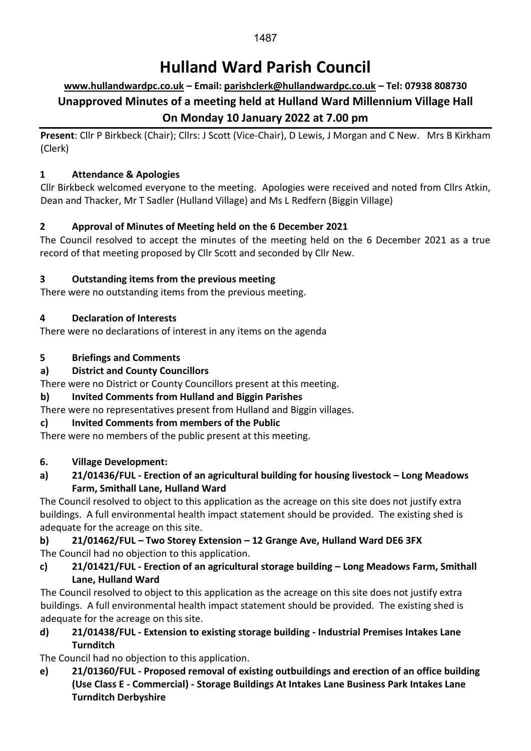#### 1487

# **Hulland Ward Parish Council**

# **[www.hullandwardpc.co.uk](http://www.hullandwardpc.co.uk/) – Email: [parishclerk@hullandwardpc.co.uk](mailto:parishclerk@hullandwardpc.co.uk) – Tel: 07938 808730 Unapproved Minutes of a meeting held at Hulland Ward Millennium Village Hall On Monday 10 January 2022 at 7.00 pm**

**Present**: Cllr P Birkbeck (Chair); Cllrs: J Scott (Vice-Chair), D Lewis, J Morgan and C New. Mrs B Kirkham (Clerk)

## **1 Attendance & Apologies**

Cllr Birkbeck welcomed everyone to the meeting. Apologies were received and noted from Cllrs Atkin, Dean and Thacker, Mr T Sadler (Hulland Village) and Ms L Redfern (Biggin Village)

## **2 Approval of Minutes of Meeting held on the 6 December 2021**

The Council resolved to accept the minutes of the meeting held on the 6 December 2021 as a true record of that meeting proposed by Cllr Scott and seconded by Cllr New.

## **3 Outstanding items from the previous meeting**

There were no outstanding items from the previous meeting.

## **4 Declaration of Interests**

There were no declarations of interest in any items on the agenda

## **5 Briefings and Comments**

## **a) District and County Councillors**

There were no District or County Councillors present at this meeting.

## **b) Invited Comments from Hulland and Biggin Parishes**

There were no representatives present from Hulland and Biggin villages.

## **c) Invited Comments from members of the Public**

There were no members of the public present at this meeting.

#### **6. Village Development:**

#### **a) 21/01436/FUL - Erection of an agricultural building for housing livestock – Long Meadows Farm, Smithall Lane, Hulland Ward**

The Council resolved to object to this application as the acreage on this site does not justify extra buildings. A full environmental health impact statement should be provided. The existing shed is adequate for the acreage on this site.

## **b) 21/01462/FUL – Two Storey Extension – 12 Grange Ave, Hulland Ward DE6 3FX** The Council had no objection to this application.

**c) 21/01421/FUL - Erection of an agricultural storage building – Long Meadows Farm, Smithall Lane, Hulland Ward**

The Council resolved to object to this application as the acreage on this site does not justify extra buildings. A full environmental health impact statement should be provided. The existing shed is adequate for the acreage on this site.

**d) 21/01438/FUL - Extension to existing storage building - Industrial Premises Intakes Lane Turnditch**

The Council had no objection to this application.

**e) 21/01360/FUL - Proposed removal of existing outbuildings and erection of an office building (Use Class E - Commercial) - Storage Buildings At Intakes Lane Business Park Intakes Lane Turnditch Derbyshire**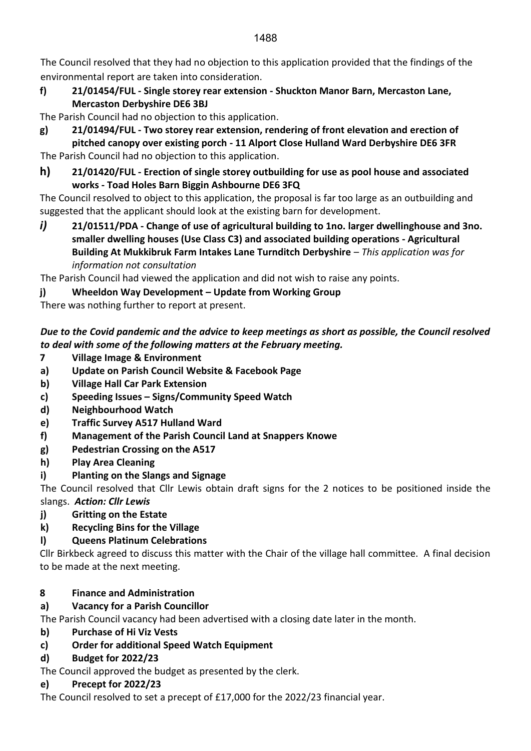The Council resolved that they had no objection to this application provided that the findings of the environmental report are taken into consideration.

**f) 21/01454/FUL - Single storey rear extension - Shuckton Manor Barn, Mercaston Lane, Mercaston Derbyshire DE6 3BJ**

The Parish Council had no objection to this application.

- **g) 21/01494/FUL - Two storey rear extension, rendering of front elevation and erection of pitched canopy over existing porch - 11 Alport Close Hulland Ward Derbyshire DE6 3FR**
- The Parish Council had no objection to this application.
- **h) 21/01420/FUL - Erection of single storey outbuilding for use as pool house and associated works - Toad Holes Barn Biggin Ashbourne DE6 3FQ**

The Council resolved to object to this application, the proposal is far too large as an outbuilding and suggested that the applicant should look at the existing barn for development.

*i)* **21/01511/PDA - Change of use of agricultural building to 1no. larger dwellinghouse and 3no. smaller dwelling houses (Use Class C3) and associated building operations - Agricultural Building At Mukkibruk Farm Intakes Lane Turnditch Derbyshire** – *This application was for information not consultation*

The Parish Council had viewed the application and did not wish to raise any points.

**j) Wheeldon Way Development – Update from Working Group**

There was nothing further to report at present.

## *Due to the Covid pandemic and the advice to keep meetings as short as possible, the Council resolved to deal with some of the following matters at the February meeting.*

- **7 Village Image & Environment**
- **a) Update on Parish Council Website & Facebook Page**
- **b) Village Hall Car Park Extension**
- **c) Speeding Issues – Signs/Community Speed Watch**
- **d) Neighbourhood Watch**
- **e) Traffic Survey A517 Hulland Ward**
- **f) Management of the Parish Council Land at Snappers Knowe**
- **g) Pedestrian Crossing on the A517**
- **h) Play Area Cleaning**
- **i) Planting on the Slangs and Signage**

The Council resolved that Cllr Lewis obtain draft signs for the 2 notices to be positioned inside the slangs. *Action: Cllr Lewis*

- **j) Gritting on the Estate**
- **k) Recycling Bins for the Village**
- **l) Queens Platinum Celebrations**

Cllr Birkbeck agreed to discuss this matter with the Chair of the village hall committee. A final decision to be made at the next meeting.

# **8 Finance and Administration**

**a) Vacancy for a Parish Councillor**

The Parish Council vacancy had been advertised with a closing date later in the month.

- **b) Purchase of Hi Viz Vests**
- **c) Order for additional Speed Watch Equipment**
- **d) Budget for 2022/23**

The Council approved the budget as presented by the clerk.

## **e) Precept for 2022/23**

The Council resolved to set a precept of £17,000 for the 2022/23 financial year.